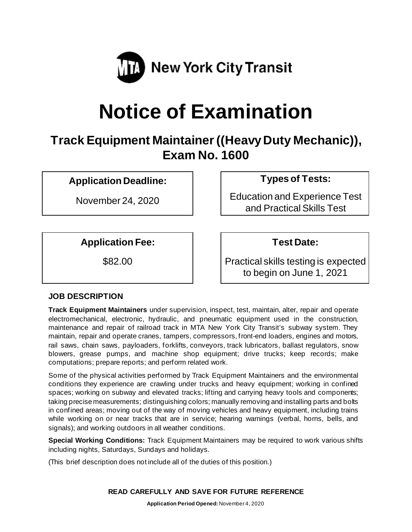

# **Notice of Examination**

# **Track Equipment Maintainer((Heavy Duty Mechanic)), Exam No. 1600**

## **Application Deadline: Types of Tests:**

**Application Fee: Test Date:**

November 24, 2020 Education and Experience Test and Practical Skills Test

\$82.00 **Practical skills testing is expected** to begin on June 1, 2021

### **JOB DESCRIPTION**

**Track Equipment Maintainers** under supervision, inspect, test, maintain, alter, repair and operate electromechanical, electronic, hydraulic, and pneumatic equipment used in the construction, maintenance and repair of railroad track in MTA New York City Transit's subway system. They maintain, repair and operate cranes, tampers, compressors, front-end loaders, engines and motors, rail saws, chain saws, payloaders, forklifts, conveyors, track lubricators, ballast regulators, snow blowers, grease pumps, and machine shop equipment; drive trucks; keep records; make computations; prepare reports; and perform related work.

Some of the physical activities performed by Track Equipment Maintainers and the environmental conditions they experience are crawling under trucks and heavy equipment; working in confined spaces; working on subway and elevated tracks; lifting and carrying heavy tools and components; taking precise measurements; distinguishing colors; manually removing and installing parts and bolts in confined areas; moving out of the way of moving vehicles and heavy equipment, including trains while working on or near tracks that are in service; hearing warnings (verbal, horns, bells, and signals); and working outdoors in all weather conditions.

**Special Working Conditions:** Track Equipment Maintainers may be required to work various shifts including nights, Saturdays, Sundays and holidays.

(This brief description does not include all of the duties of this position.)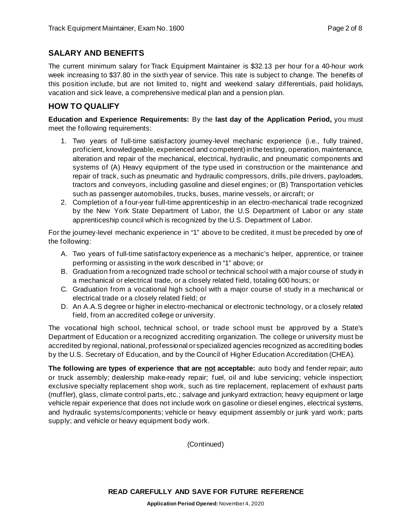#### **SALARY AND BENEFITS**

The current minimum salary for Track Equipment Maintainer is \$32.13 per hour for a 40-hour work week increasing to \$37.80 in the sixth year of service. This rate is subject to change. The benefits of this position include, but are not limited to, night and weekend salary differentials, paid holidays, vacation and sick leave, a comprehensive medical plan and a pension plan.

### **HOW TO QUALIFY**

**Education and Experience Requirements:** By the **last day of the Application Period,** you must meet the following requirements:

- 1. Two years of full-time satisfactory journey-level mechanic experience (i.e., fully trained, proficient, knowledgeable, experienced and competent) in the testing, operation, maintenance, alteration and repair of the mechanical, electrical, hydraulic, and pneumatic components and systems of (A) Heavy equipment of the type used in construction or the maintenance and repair of track, such as pneumatic and hydraulic compressors, drills, pile drivers, payloaders, tractors and conveyors, including gasoline and diesel engines; or (B) Transportation vehicles such as passenger automobiles, trucks, buses, marine vessels, or aircraft; or
- 2. Completion of a four-year full-time apprenticeship in an electro-mechanical trade recognized by the New York State Department of Labor, the U.S Department of Labor or any state apprenticeship council which is recognized by the U.S. Department of Labor.

For the journey-level mechanic experience in "1" above to be credited, it must be preceded by one of the following:

- A. Two years of full-time satisfactory experience as a mechanic's helper, apprentice, or trainee performing or assisting in the work described in "1" above; or
- B. Graduation from a recognized trade school or technical school with a major course of study in a mechanical or electrical trade, or a closely related field, totaling 600 hours; or
- C. Graduation from a vocational high school with a major course of study in a mechanical or electrical trade or a closely related field; or
- D. An A.A.S degree or higher in electro-mechanical or electronic technology, or a closely related field, from an accredited college or university.

The vocational high school, technical school, or trade school must be approved by a State's Department of Education or a recognized accrediting organization. The college or university must be accredited by regional, national, professional or specialized agencies recognized as accrediting bodies by the U.S. Secretary of Education, and by the Council of Higher Education Accreditation (CHEA).

**The following are types of experience that are not acceptable:** auto body and fender repair; auto or truck assembly; dealership make-ready repair; fuel, oil and lube servicing; vehicle inspection; exclusive specialty replacement shop work, such as tire replacement, replacement of exhaust parts (muffler), glass, climate control parts, etc.; salvage and junkyard extraction; heavy equipment or large vehicle repair experience that does not include work on gasoline or diesel engines, electrical systems, and hydraulic systems/components; vehicle or heavy equipment assembly or junk yard work; parts supply; and vehicle or heavy equipment body work.

(Continued)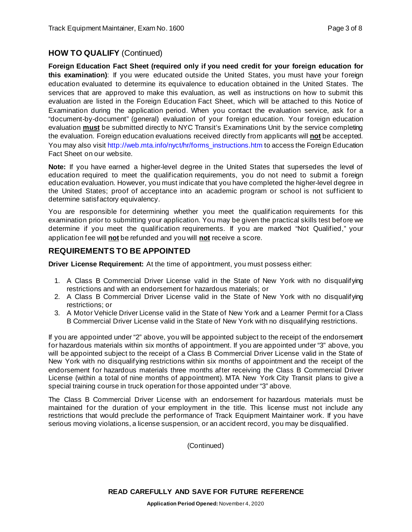#### **HOW TO QUALIFY** (Continued)

**Foreign Education Fact Sheet (required only if you need credit for your foreign education for this examination)**: If you were educated outside the United States, you must have your foreign education evaluated to determine its equivalence to education obtained in the United States. The services that are approved to make this evaluation, as well as instructions on how to submit this evaluation are listed in the Foreign Education Fact Sheet, which will be attached to this Notice of Examination during the application period. When you contact the evaluation service, ask for a "document-by-document" (general) evaluation of your foreign education. Your foreign education evaluation **must** be submitted directly to NYC Transit's Examinations Unit by the service completing the evaluation. Foreign education evaluations received directly from applicants will **not** be accepted. You may also visi[t http://web.mta.info/nyct/hr/forms\\_instructions.htm](http://web.mta.info/nyct/hr/forms_instructions.htm) to access the Foreign Education Fact Sheet on our website.

**Note:** If you have earned a higher-level degree in the United States that supersedes the level of education required to meet the qualification requirements, you do not need to submit a foreign education evaluation. However, you must indicate that you have completed the higher-level degree in the United States; proof of acceptance into an academic program or school is not sufficient to determine satisfactory equivalency.

You are responsible for determining whether you meet the qualification requirements for this examination prior to submitting your application. You may be given the practical skills test before we determine if you meet the qualification requirements. If you are marked "Not Qualified," your application fee will **not** be refunded and you will **not** receive a score.

#### **REQUIREMENTS TO BE APPOINTED**

**Driver License Requirement:** At the time of appointment, you must possess either:

- 1. A Class B Commercial Driver License valid in the State of New York with no disqualifying restrictions and with an endorsement for hazardous materials; or
- 2. A Class B Commercial Driver License valid in the State of New York with no disqualifying restrictions; or
- 3. A Motor Vehicle Driver License valid in the State of New York and a Learner Permit for a Class B Commercial Driver License valid in the State of New York with no disqualifying restrictions.

If you are appointed under "2" above, you will be appointed subject to the receipt of the endorsement for hazardous materials within six months of appointment. If you are appointed under "3" above, you will be appointed subject to the receipt of a Class B Commercial Driver License valid in the State of New York with no disqualifying restrictions within six months of appointment and the receipt of the endorsement for hazardous materials three months after receiving the Class B Commercial Driver License (within a total of nine months of appointment). MTA New York City Transit plans to give a special training course in truck operation for those appointed under "3" above.

The Class B Commercial Driver License with an endorsement for hazardous materials must be maintained for the duration of your employment in the title. This license must not include any restrictions that would preclude the performance of Track Equipment Maintainer work. If you have serious moving violations, a license suspension, or an accident record, you may be disqualified.

(Continued)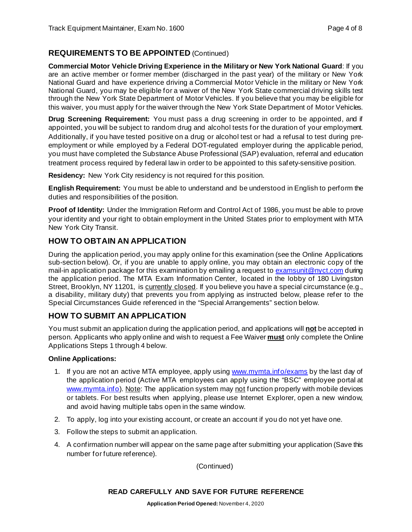#### **REQUIREMENTS TO BE APPOINTED** (Continued)

**Commercial Motor Vehicle Driving Experience in the Military or New York National Guard**: If you are an active member or former member (discharged in the past year) of the military or New York National Guard and have experience driving a Commercial Motor Vehicle in the military or New York National Guard, you may be eligible for a waiver of the New York State commercial driving skills test through the New York State Department of Motor Vehicles. If you believe that you may be eligible for this waiver, you must apply for the waiver through the New York State Department of Motor Vehicles.

**Drug Screening Requirement:** You must pass a drug screening in order to be appointed, and if appointed, you will be subject to random drug and alcohol tests for the duration of your employment. Additionally, if you have tested positive on a drug or alcohol test or had a refusal to test during preemployment or while employed by a Federal DOT-regulated employer during the applicable period, you must have completed the Substance Abuse Professional (SAP) evaluation, referral and education treatment process required by federal law in order to be appointed to this safety-sensitive position.

**Residency:** New York City residency is not required for this position.

**English Requirement:** You must be able to understand and be understood in English to perform the duties and responsibilities of the position.

**Proof of Identity:** Under the Immigration Reform and Control Act of 1986, you must be able to prove your identity and your right to obtain employment in the United States prior to employment with MTA New York City Transit.

#### **HOW TO OBTAIN AN APPLICATION**

During the application period, you may apply online for this examination (see the Online Applications sub-section below). Or, if you are unable to apply online, you may obtain an electronic copy of the mail-in application package for this examination by emailing a request to [examsunit@nyct.com](mailto:examsunit@nyct.com) during the application period. The MTA Exam Information Center, located in the lobby of 180 Livingston Street, Brooklyn, NY 11201, is currently closed. If you believe you have a special circumstance (e.g., a disability, military duty) that prevents you from applying as instructed below, please refer to the Special Circumstances Guide referenced in the "Special Arrangements" section below.

#### **HOW TO SUBMIT AN APPLICATION**

You must submit an application during the application period, and applications will **not** be accepted in person. Applicants who apply online and wish to request a Fee Waiver **must** only complete the Online Applications Steps 1 through 4 below.

#### **Online Applications:**

- 1. If you are not an active MTA employee, apply using [www.mymta.info/exams](http://www.mymta.info/exams) by the last day of the application period (Active MTA employees can apply using the "BSC" employee portal at [www.mymta.info\)](http://www.mymta.info/). Note: The application system may not function properly with mobile devices or tablets. For best results when applying, please use Internet Explorer, open a new window, and avoid having multiple tabs open in the same window.
- 2. To apply, log into your existing account, or create an account if you do not yet have one.
- 3. Follow the steps to submit an application.
- 4. A confirmation number will appear on the same page after submitting your application (Save this number for future reference).

(Continued)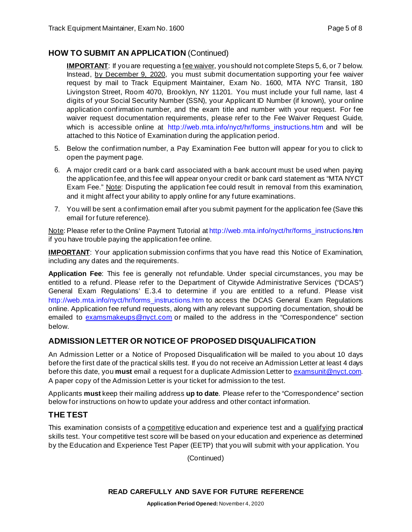#### **HOW TO SUBMIT AN APPLICATION** (Continued)

**IMPORTANT**: If you are requesting a <u>fee waiver</u>, you should not complete Steps 5, 6, or 7 below. Instead, by December 9, 2020, you must submit documentation supporting your fee waiver request by mail to Track Equipment Maintainer, Exam No. 1600, MTA NYC Transit, 180 Livingston Street, Room 4070, Brooklyn, NY 11201. You must include your full name, last 4 digits of your Social Security Number (SSN), your Applicant ID Number (if known), your online application confirmation number, and the exam title and number with your request. For fee waiver request documentation requirements, please refer to the Fee Waiver Request Guide, which is accessible online at [http://web.mta.info/nyct/hr/forms\\_instructions.htm](http://web.mta.info/nyct/hr/forms_instructions.htm) and will be attached to this Notice of Examination during the application period.

- 5. Below the confirmation number, a Pay Examination Fee button will appear for you to click to open the payment page.
- 6. A major credit card or a bank card associated with a bank account must be used when paying the application fee, and this fee will appear on your credit or bank card statement as "MTA NYCT Exam Fee." Note: Disputing the application fee could result in removal from this examination, and it might affect your ability to apply online for any future examinations.
- 7. You will be sent a confirmation email after you submit payment for the application fee (Save this email for future reference).

Note: Please refer to the Online Payment Tutorial at [http://web.mta.info/nyct/hr/forms\\_instructions.htm](http://web.mta.info/nyct/hr/forms_instructions.htm) if you have trouble paying the application fee online.

**IMPORTANT**: Your application submission confirms that you have read this Notice of Examination, including any dates and the requirements.

**Application Fee**: This fee is generally not refundable. Under special circumstances, you may be entitled to a refund. Please refer to the Department of Citywide Administrative Services ("DCAS") General Exam Regulations' E.3.4 to determine if you are entitled to a refund. Please visit [http://web.mta.info/nyct/hr/forms\\_instructions.htm](http://web.mta.info/nyct/hr/forms_instructions.htm) to access the DCAS General Exam Regulations online. Application fee refund requests, along with any relevant supporting documentation, should be emailed to [examsmakeups@nyct.com](mailto:examsmakeups@nyct.com) or mailed to the address in the "Correspondence" section below.

#### **ADMISSION LETTER OR NOTICE OF PROPOSED DISQUALIFICATION**

An Admission Letter or a Notice of Proposed Disqualification will be mailed to you about 10 days before the first date of the practical skills test. If you do not receive an Admission Letter at least 4 days before this date, you **must** email a request for a duplicate Admission Letter to [examsunit@nyct.com.](mailto:examsunit@nyct.com) A paper copy of the Admission Letter is your ticket for admission to the test.

Applicants **must** keep their mailing address **up to date**. Please refer to the "Correspondence" section below for instructions on how to update your address and other contact information.

#### **THE TEST**

This examination consists of a competitive education and experience test and a qualifying practical skills test. Your competitive test score will be based on your education and experience as determined by the Education and Experience Test Paper (EETP) that you will submit with your application. You

(Continued)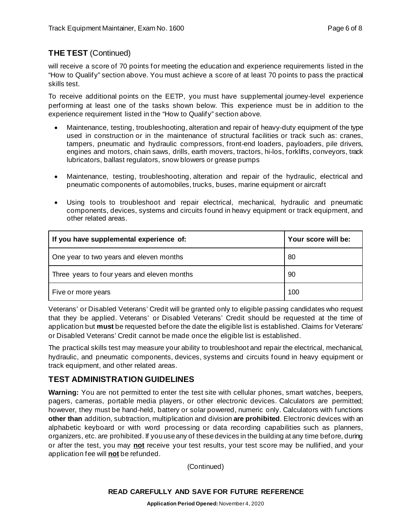#### **THE TEST** (Continued)

will receive a score of 70 points for meeting the education and experience requirements listed in the "How to Qualify" section above. You must achieve a score of at least 70 points to pass the practical skills test.

To receive additional points on the EETP, you must have supplemental journey-level experience performing at least one of the tasks shown below. This experience must be in addition to the experience requirement listed in the "How to Qualify" section above.

- Maintenance, testing, troubleshooting, alteration and repair of heavy-duty equipment of the type used in construction or in the maintenance of structural facilities or track such as: cranes, tampers, pneumatic and hydraulic compressors, front-end loaders, payloaders, pile drivers, engines and motors, chain saws, drills, earth movers, tractors, hi-los, forklifts, conveyors, track lubricators, ballast regulators, snow blowers or grease pumps
- Maintenance, testing, troubleshooting, alteration and repair of the hydraulic, electrical and pneumatic components of automobiles, trucks, buses, marine equipment or aircraft
- Using tools to troubleshoot and repair electrical, mechanical, hydraulic and pneumatic components, devices, systems and circuits found in heavy equipment or track equipment, and other related areas.

| If you have supplemental experience of:     | Your score will be: |
|---------------------------------------------|---------------------|
| One year to two years and eleven months     | 80                  |
| Three years to four years and eleven months | 90                  |
| Five or more years                          | 100                 |

Veterans' or Disabled Veterans' Credit will be granted only to eligible passing candidates who request that they be applied. Veterans' or Disabled Veterans' Credit should be requested at the time of application but **must** be requested before the date the eligible list is established. Claims for Veterans' or Disabled Veterans' Credit cannot be made once the eligible list is established.

The practical skills test may measure your ability to troubleshoot and repair the electrical, mechanical, hydraulic, and pneumatic components, devices, systems and circuits found in heavy equipment or track equipment, and other related areas.

#### **TEST ADMINISTRATION GUIDELINES**

**Warning:** You are not permitted to enter the test site with cellular phones, smart watches, beepers, pagers, cameras, portable media players, or other electronic devices. Calculators are permitted; however, they must be hand-held, battery or solar powered, numeric only. Calculators with functions **other than** addition, subtraction, multiplication and division **are prohibited**. Electronic devices with an alphabetic keyboard or with word processing or data recording capabilities such as planners, organizers, etc. are prohibited. If you use any of these devices in the building at any time before, during or after the test, you may **not** receive your test results, your test score may be nullified, and your application fee will **not** be refunded.

(Continued)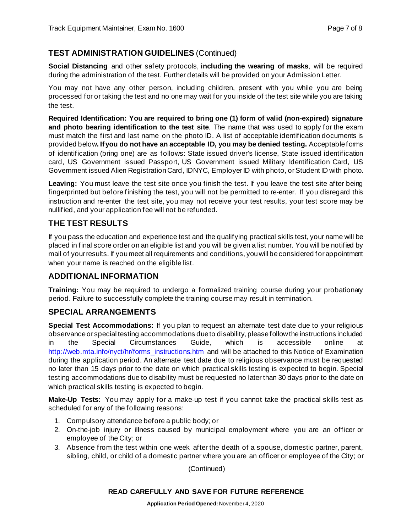#### **TEST ADMINISTRATION GUIDELINES** (Continued)

**Social Distancing** and other safety protocols, **including the wearing of masks**, will be required during the administration of the test. Further details will be provided on your Admission Letter.

You may not have any other person, including children, present with you while you are being processed for or taking the test and no one may wait for you inside of the test site while you are taking the test.

**Required Identification: You are required to bring one (1) form of valid (non-expired) signature and photo bearing identification to the test site**. The name that was used to apply for the exam must match the first and last name on the photo ID. A list of acceptable identification documents is provided below**. If you do not have an acceptable ID, you may be denied testing.** Acceptable forms of identification (bring one) are as follows: State issued driver's license, State issued identification card, US Government issued Passport, US Government issued Military Identification Card, US Government issued Alien Registration Card, IDNYC, Employer ID with photo, or Student ID with photo.

Leaving: You must leave the test site once you finish the test. If you leave the test site after being fingerprinted but before finishing the test, you will not be permitted to re-enter. If you disregard this instruction and re-enter the test site, you may not receive your test results, your test score may be nullified, and your application fee will not be refunded.

### **THE TEST RESULTS**

If you pass the education and experience test and the qualifying practical skills test, your name will be placed in final score order on an eligible list and you will be given a list number. You will be notified by mail of your results. If you meet all requirements and conditions, you will be considered for appointment when your name is reached on the eligible list.

#### **ADDITIONAL INFORMATION**

**Training:** You may be required to undergo a formalized training course during your probationary period. Failure to successfully complete the training course may result in termination.

#### **SPECIAL ARRANGEMENTS**

**Special Test Accommodations:** If you plan to request an alternate test date due to your religious observance or special testing accommodations due to disability, please follow the instructions included in the Special Circumstances Guide, which is accessible online at [http://web.mta.info/nyct/hr/forms\\_instructions.htm](http://web.mta.info/nyct/hr/forms_instructions.htm) and will be attached to this Notice of Examination during the application period. An alternate test date due to religious observance must be requested no later than 15 days prior to the date on which practical skills testing is expected to begin. Special testing accommodations due to disability must be requested no later than 30 days prior to the date on which practical skills testing is expected to begin.

**Make-Up Tests:** You may apply for a make-up test if you cannot take the practical skills test as scheduled for any of the following reasons:

- 1. Compulsory attendance before a public body; or
- 2. On-the-job injury or illness caused by municipal employment where you are an officer or employee of the City; or
- 3. Absence from the test within one week after the death of a spouse, domestic partner, parent, sibling, child, or child of a domestic partner where you are an officer or employee of the City; or

(Continued)